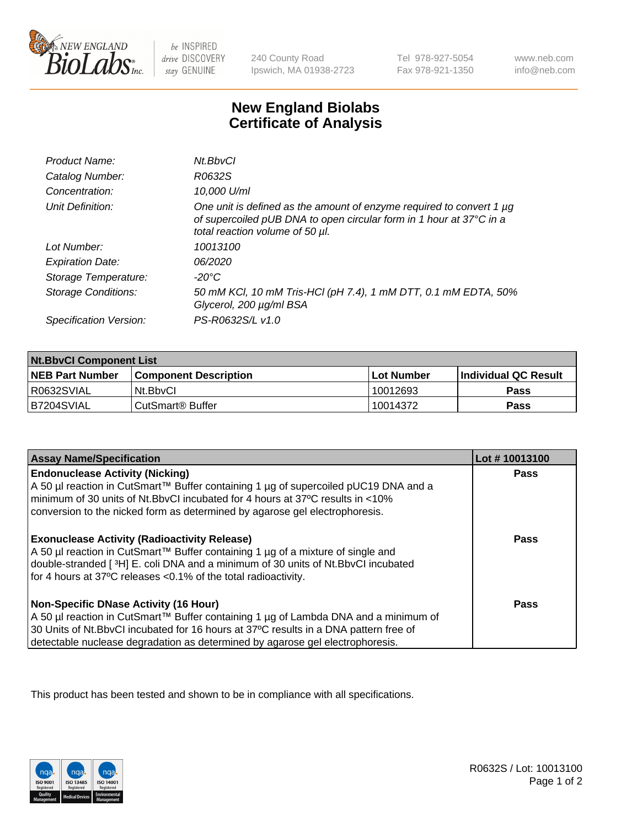

be INSPIRED drive DISCOVERY stay GENUINE

240 County Road Ipswich, MA 01938-2723

Tel 978-927-5054 Fax 978-921-1350

www.neb.com info@neb.com

## **New England Biolabs Certificate of Analysis**

| Product Name:              | Nt.BbvCl                                                                                                                                                                            |
|----------------------------|-------------------------------------------------------------------------------------------------------------------------------------------------------------------------------------|
| Catalog Number:            | R0632S                                                                                                                                                                              |
| Concentration:             | 10,000 U/ml                                                                                                                                                                         |
| Unit Definition:           | One unit is defined as the amount of enzyme required to convert 1 $\mu$ g<br>of supercoiled pUB DNA to open circular form in 1 hour at 37°C in a<br>total reaction volume of 50 µl. |
| Lot Number:                | 10013100                                                                                                                                                                            |
| <b>Expiration Date:</b>    | 06/2020                                                                                                                                                                             |
| Storage Temperature:       | -20°C                                                                                                                                                                               |
| <b>Storage Conditions:</b> | 50 mM KCl, 10 mM Tris-HCl (pH 7.4), 1 mM DTT, 0.1 mM EDTA, 50%<br>Glycerol, 200 µg/ml BSA                                                                                           |
| Specification Version:     | PS-R0632S/L v1.0                                                                                                                                                                    |

| <b>Nt.BbvCl Component List</b> |                              |            |                             |  |
|--------------------------------|------------------------------|------------|-----------------------------|--|
| <b>NEB Part Number</b>         | <b>Component Description</b> | Lot Number | <b>Individual QC Result</b> |  |
| R0632SVIAL                     | Nt.BbvCl                     | 10012693   | Pass                        |  |
| IB7204SVIAL                    | CutSmart® Buffer             | 10014372   | <b>Pass</b>                 |  |

| <b>Assay Name/Specification</b>                                                                                                                                                                                                                                                                                | Lot #10013100 |
|----------------------------------------------------------------------------------------------------------------------------------------------------------------------------------------------------------------------------------------------------------------------------------------------------------------|---------------|
| <b>Endonuclease Activity (Nicking)</b><br>  A 50 µl reaction in CutSmart™ Buffer containing 1 µg of supercoiled pUC19 DNA and a<br>minimum of 30 units of Nt.BbvCI incubated for 4 hours at 37°C results in <10%<br>conversion to the nicked form as determined by agarose gel electrophoresis.                | <b>Pass</b>   |
| <b>Exonuclease Activity (Radioactivity Release)</b><br>  A 50 µl reaction in CutSmart™ Buffer containing 1 µg of a mixture of single and<br>double-stranded [3H] E. coli DNA and a minimum of 30 units of Nt.BbvCl incubated<br>for 4 hours at 37°C releases <0.1% of the total radioactivity.                 | <b>Pass</b>   |
| <b>Non-Specific DNase Activity (16 Hour)</b><br>  A 50 µl reaction in CutSmart™ Buffer containing 1 µg of Lambda DNA and a minimum of<br>30 Units of Nt.BbvCl incubated for 16 hours at 37°C results in a DNA pattern free of<br>detectable nuclease degradation as determined by agarose gel electrophoresis. | <b>Pass</b>   |

This product has been tested and shown to be in compliance with all specifications.